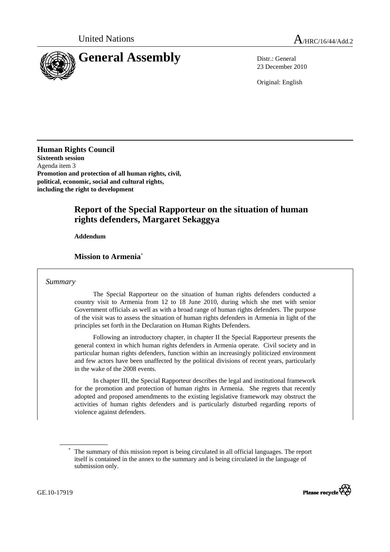

23 December 2010

Original: English

**Human Rights Council Sixteenth session**  Agenda item 3 **Promotion and protection of all human rights, civil, political, economic, social and cultural rights, including the right to development** 

# **Report of the Special Rapporteur on the situation of human rights defenders, Margaret Sekaggya**

 **Addendum** 

## **Mission to Armenia**\*

## *Summary*

 The Special Rapporteur on the situation of human rights defenders conducted a country visit to Armenia from 12 to 18 June 2010, during which she met with senior Government officials as well as with a broad range of human rights defenders. The purpose of the visit was to assess the situation of human rights defenders in Armenia in light of the principles set forth in the Declaration on Human Rights Defenders.

 Following an introductory chapter, in chapter II the Special Rapporteur presents the general context in which human rights defenders in Armenia operate. Civil society and in particular human rights defenders, function within an increasingly politicized environment and few actors have been unaffected by the political divisions of recent years, particularly in the wake of the 2008 events.

 In chapter III, the Special Rapporteur describes the legal and institutional framework for the promotion and protection of human rights in Armenia. She regrets that recently adopted and proposed amendments to the existing legislative framework may obstruct the activities of human rights defenders and is particularly disturbed regarding reports of violence against defenders.

<sup>\*</sup> The summary of this mission report is being circulated in all official languages. The report itself is contained in the annex to the summary and is being circulated in the language of submission only.



GE.10-17919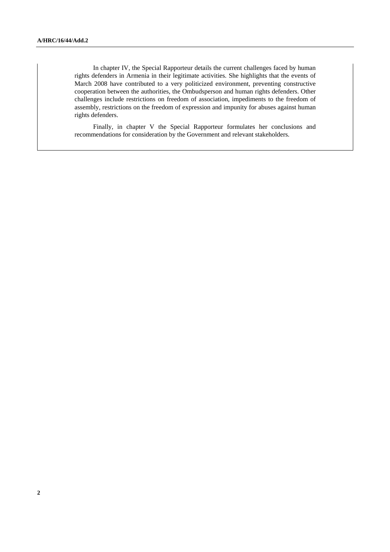In chapter IV, the Special Rapporteur details the current challenges faced by human rights defenders in Armenia in their legitimate activities. She highlights that the events of March 2008 have contributed to a very politicized environment, preventing constructive cooperation between the authorities, the Ombudsperson and human rights defenders. Other challenges include restrictions on freedom of association, impediments to the freedom of assembly, restrictions on the freedom of expression and impunity for abuses against human rights defenders.

 Finally, in chapter V the Special Rapporteur formulates her conclusions and recommendations for consideration by the Government and relevant stakeholders.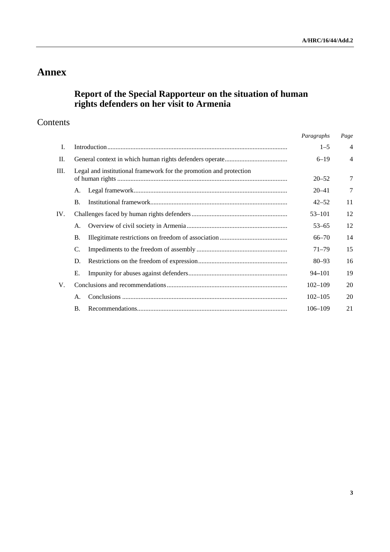# **Annex**

# **Report of the Special Rapporteur on the situation of human rights defenders on her visit to Armenia**

# Contents

|     |                                                                    | Paragraphs  | Page           |
|-----|--------------------------------------------------------------------|-------------|----------------|
| I.  |                                                                    | $1 - 5$     | $\overline{4}$ |
| П.  |                                                                    | $6 - 19$    | $\overline{4}$ |
| Ш.  | Legal and institutional framework for the promotion and protection | $20 - 52$   | 7              |
|     | А.                                                                 | $20 - 41$   | 7              |
|     | <b>B.</b>                                                          | $42 - 52$   | 11             |
| IV. |                                                                    | $53 - 101$  | 12             |
|     | A.                                                                 | $53 - 65$   | 12             |
|     | <b>B.</b>                                                          | $66 - 70$   | 14             |
|     | C.                                                                 | $71 - 79$   | 15             |
|     | D.                                                                 | $80 - 93$   | 16             |
|     | Е.                                                                 | $94 - 101$  | 19             |
| V.  |                                                                    | $102 - 109$ | 20             |
|     | A.                                                                 | $102 - 105$ | 20             |
|     | <b>B.</b>                                                          | 106-109     | 21             |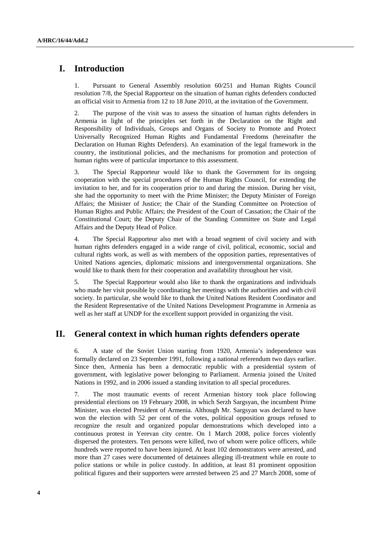# **I. Introduction**

1. Pursuant to General Assembly resolution 60/251 and Human Rights Council resolution 7/8, the Special Rapporteur on the situation of human rights defenders conducted an official visit to Armenia from 12 to 18 June 2010, at the invitation of the Government.

2. The purpose of the visit was to assess the situation of human rights defenders in Armenia in light of the principles set forth in the Declaration on the Right and Responsibility of Individuals, Groups and Organs of Society to Promote and Protect Universally Recognized Human Rights and Fundamental Freedoms (hereinafter the Declaration on Human Rights Defenders). An examination of the legal framework in the country, the institutional policies, and the mechanisms for promotion and protection of human rights were of particular importance to this assessment.

3. The Special Rapporteur would like to thank the Government for its ongoing cooperation with the special procedures of the Human Rights Council, for extending the invitation to her, and for its cooperation prior to and during the mission. During her visit, she had the opportunity to meet with the Prime Minister; the Deputy Minister of Foreign Affairs; the Minister of Justice; the Chair of the Standing Committee on Protection of Human Rights and Public Affairs; the President of the Court of Cassation; the Chair of the Constitutional Court; the Deputy Chair of the Standing Committee on State and Legal Affairs and the Deputy Head of Police.

4. The Special Rapporteur also met with a broad segment of civil society and with human rights defenders engaged in a wide range of civil, political, economic, social and cultural rights work, as well as with members of the opposition parties, representatives of United Nations agencies, diplomatic missions and intergovernmental organizations. She would like to thank them for their cooperation and availability throughout her visit.

5. The Special Rapporteur would also like to thank the organizations and individuals who made her visit possible by coordinating her meetings with the authorities and with civil society. In particular, she would like to thank the United Nations Resident Coordinator and the Resident Representative of the United Nations Development Programme in Armenia as well as her staff at UNDP for the excellent support provided in organizing the visit.

# **II. General context in which human rights defenders operate**

6. A state of the Soviet Union starting from 1920, Armenia's independence was formally declared on 23 September 1991, following a national referendum two days earlier. Since then, Armenia has been a democratic republic with a presidential system of government, with legislative power belonging to Parliament. Armenia joined the United Nations in 1992, and in 2006 issued a standing invitation to all special procedures.

7. The most traumatic events of recent Armenian history took place following presidential elections on 19 February 2008, in which Serzh Sargsyan, the incumbent Prime Minister, was elected President of Armenia. Although Mr. Sargsyan was declared to have won the election with 52 per cent of the votes, political opposition groups refused to recognize the result and organized popular demonstrations which developed into a continuous protest in Yerevan city centre. On 1 March 2008, police forces violently dispersed the protesters. Ten persons were killed, two of whom were police officers, while hundreds were reported to have been injured. At least 102 demonstrators were arrested, and more than 27 cases were documented of detainees alleging ill-treatment while en route to police stations or while in police custody. In addition, at least 81 prominent opposition political figures and their supporters were arrested between 25 and 27 March 2008, some of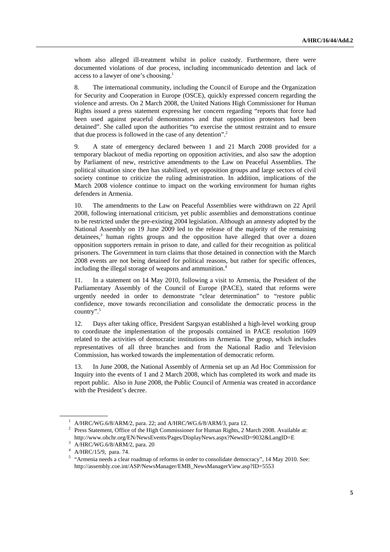whom also alleged ill-treatment whilst in police custody. Furthermore, there were documented violations of due process, including incommunicado detention and lack of access to a lawyer of one's choosing.<sup>1</sup>

8. The international community, including the Council of Europe and the Organization for Security and Cooperation in Europe (OSCE), quickly expressed concern regarding the violence and arrests. On 2 March 2008, the United Nations High Commissioner for Human Rights issued a press statement expressing her concern regarding "reports that force had been used against peaceful demonstrators and that opposition protestors had been detained". She called upon the authorities "to exercise the utmost restraint and to ensure that due process is followed in the case of any detention".<sup>2</sup>

9. A state of emergency declared between 1 and 21 March 2008 provided for a temporary blackout of media reporting on opposition activities, and also saw the adoption by Parliament of new, restrictive amendments to the Law on Peaceful Assemblies. The political situation since then has stabilized, yet opposition groups and large sectors of civil society continue to criticize the ruling administration. In addition, implications of the March 2008 violence continue to impact on the working environment for human rights defenders in Armenia.

10. The amendments to the Law on Peaceful Assemblies were withdrawn on 22 April 2008, following international criticism, yet public assemblies and demonstrations continue to be restricted under the pre-existing 2004 legislation. Although an amnesty adopted by the National Assembly on 19 June 2009 led to the release of the majority of the remaining detainees,<sup>3</sup> human rights groups and the opposition have alleged that over a dozen opposition supporters remain in prison to date, and called for their recognition as political prisoners. The Government in turn claims that those detained in connection with the March 2008 events are not being detained for political reasons, but rather for specific offences, including the illegal storage of weapons and ammunition.<sup>4</sup>

11. In a statement on 14 May 2010, following a visit to Armenia, the President of the Parliamentary Assembly of the Council of Europe (PACE), stated that reforms were urgently needed in order to demonstrate "clear determination" to "restore public confidence, move towards reconciliation and consolidate the democratic process in the country".5

12. Days after taking office, President Sargsyan established a high-level working group to coordinate the implementation of the proposals contained in PACE resolution 1609 related to the activities of democratic institutions in Armenia. The group, which includes representatives of all three branches and from the National Radio and Television Commission, has worked towards the implementation of democratic reform.

13. In June 2008, the National Assembly of Armenia set up an Ad Hoc Commission for Inquiry into the events of 1 and 2 March 2008, which has completed its work and made its report public. Also in June 2008, the Public Council of Armenia was created in accordance with the President's decree.

<sup>&</sup>lt;sup>1</sup>  $\alpha$ /HRC/WG.6/8/ARM/2, para. 22; and  $\alpha$ /HRC/WG.6/8/ARM/3, para 12.<br><sup>2</sup> Prace Statement, Office of the High Commissioner for Human Bights, 2 N

<sup>&</sup>lt;sup>2</sup> Press Statement, Office of the High Commissioner for Human Rights, 2 March 2008. Available at: http://www.ohchr.org/EN/NewsEvents/Pages/DisplayNews.aspx?NewsID=9032&LangID=E 3

 $n_{\text{up}}$ .//www.oncorresponsitions.

 $4$  A/HRC/15/9, para. 74.

<sup>&</sup>lt;sup>5</sup> "Armenia needs a clear roadmap of reforms in order to consolidate democracy", 14 May 2010. See: http://assembly.coe.int/ASP/NewsManager/EMB\_NewsManagerView.asp?ID=5553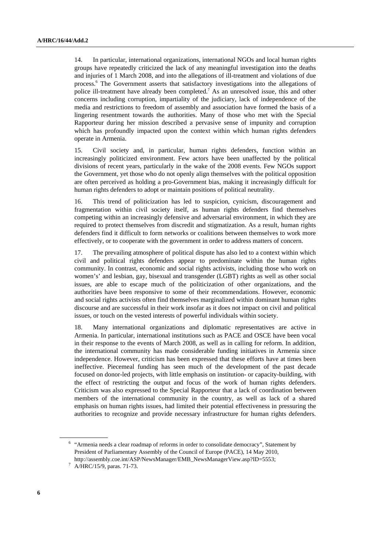14. In particular, international organizations, international NGOs and local human rights groups have repeatedly criticized the lack of any meaningful investigation into the deaths and injuries of 1 March 2008, and into the allegations of ill-treatment and violations of due process.<sup>6</sup> The Government asserts that satisfactory investigations into the allegations of police ill-treatment have already been completed.<sup>7</sup> As an unresolved issue, this and other concerns including corruption, impartiality of the judiciary, lack of independence of the media and restrictions to freedom of assembly and association have formed the basis of a lingering resentment towards the authorities. Many of those who met with the Special Rapporteur during her mission described a pervasive sense of impunity and corruption which has profoundly impacted upon the context within which human rights defenders operate in Armenia.

15. Civil society and, in particular, human rights defenders, function within an increasingly politicized environment. Few actors have been unaffected by the political divisions of recent years, particularly in the wake of the 2008 events. Few NGOs support the Government, yet those who do not openly align themselves with the political opposition are often perceived as holding a pro-Government bias, making it increasingly difficult for human rights defenders to adopt or maintain positions of political neutrality.

16. This trend of politicization has led to suspicion, cynicism, discouragement and fragmentation within civil society itself, as human rights defenders find themselves competing within an increasingly defensive and adversarial environment, in which they are required to protect themselves from discredit and stigmatization. As a result, human rights defenders find it difficult to form networks or coalitions between themselves to work more effectively, or to cooperate with the government in order to address matters of concern.

17. The prevailing atmosphere of political dispute has also led to a context within which civil and political rights defenders appear to predominate within the human rights community. In contrast, economic and social rights activists, including those who work on women's' and lesbian, gay, bisexual and transgender (LGBT) rights as well as other social issues, are able to escape much of the politicization of other organizations, and the authorities have been responsive to some of their recommendations. However, economic and social rights activists often find themselves marginalized within dominant human rights discourse and are successful in their work insofar as it does not impact on civil and political issues, or touch on the vested interests of powerful individuals within society.

18. Many international organizations and diplomatic representatives are active in Armenia. In particular, international institutions such as PACE and OSCE have been vocal in their response to the events of March 2008, as well as in calling for reform. In addition, the international community has made considerable funding initiatives in Armenia since independence. However, criticism has been expressed that these efforts have at times been ineffective. Piecemeal funding has seen much of the development of the past decade focused on donor-led projects, with little emphasis on institution- or capacity-building, with the effect of restricting the output and focus of the work of human rights defenders. Criticism was also expressed to the Special Rapporteur that a lack of coordination between members of the international community in the country, as well as lack of a shared emphasis on human rights issues, had limited their potential effectiveness in pressuring the authorities to recognize and provide necessary infrastructure for human rights defenders.

 $6$  "Armenia needs a clear roadmap of reforms in order to consolidate democracy", Statement by President of Parliamentary Assembly of the Council of Europe (PACE), 14 May 2010, http://assembly.coe.int/ASP/NewsManager/EMB\_NewsManagerView.asp?ID=5553; 7

 $7 \text{ A/HRC}/15/9, \text{ paras. } 71-73.$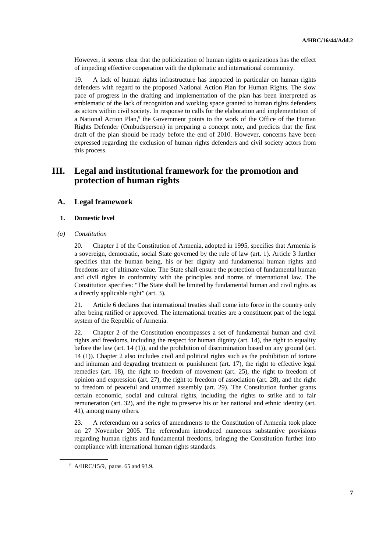However, it seems clear that the politicization of human rights organizations has the effect of impeding effective cooperation with the diplomatic and international community.

19. A lack of human rights infrastructure has impacted in particular on human rights defenders with regard to the proposed National Action Plan for Human Rights. The slow pace of progress in the drafting and implementation of the plan has been interpreted as emblematic of the lack of recognition and working space granted to human rights defenders as actors within civil society. In response to calls for the elaboration and implementation of a National Action Plan,<sup>8</sup> the Government points to the work of the Office of the Human Rights Defender (Ombudsperson) in preparing a concept note, and predicts that the first draft of the plan should be ready before the end of 2010. However, concerns have been expressed regarding the exclusion of human rights defenders and civil society actors from this process.

# **III. Legal and institutional framework for the promotion and protection of human rights**

## **A. Legal framework**

## **1. Domestic level**

 *(a) Constitution* 

20. Chapter 1 of the Constitution of Armenia, adopted in 1995, specifies that Armenia is a sovereign, democratic, social State governed by the rule of law (art. 1). Article 3 further specifies that the human being, his or her dignity and fundamental human rights and freedoms are of ultimate value. The State shall ensure the protection of fundamental human and civil rights in conformity with the principles and norms of international law. The Constitution specifies: "The State shall be limited by fundamental human and civil rights as a directly applicable right" (art. 3).

21. Article 6 declares that international treaties shall come into force in the country only after being ratified or approved. The international treaties are a constituent part of the legal system of the Republic of Armenia.

22. Chapter 2 of the Constitution encompasses a set of fundamental human and civil rights and freedoms, including the respect for human dignity (art. 14), the right to equality before the law (art. 14 (1)), and the prohibition of discrimination based on any ground (art. 14 (1)). Chapter 2 also includes civil and political rights such as the prohibition of torture and inhuman and degrading treatment or punishment (art. 17), the right to effective legal remedies (art. 18), the right to freedom of movement (art. 25), the right to freedom of opinion and expression (art. 27), the right to freedom of association (art. 28), and the right to freedom of peaceful and unarmed assembly (art. 29). The Constitution further grants certain economic, social and cultural rights, including the rights to strike and to fair remuneration (art. 32), and the right to preserve his or her national and ethnic identity (art. 41), among many others.

23. A referendum on a series of amendments to the Constitution of Armenia took place on 27 November 2005. The referendum introduced numerous substantive provisions regarding human rights and fundamental freedoms, bringing the Constitution further into compliance with international human rights standards.

<sup>8</sup> A/HRC/15/9, paras. 65 and 93.9.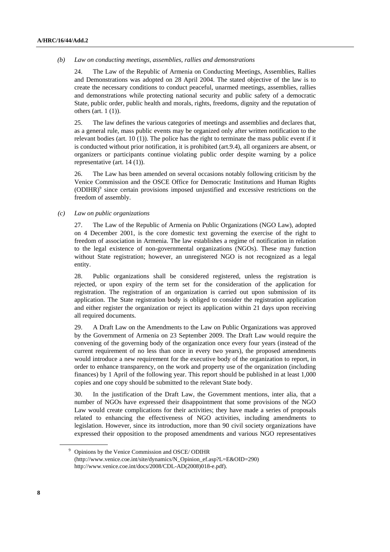#### *(b) Law on conducting meetings, assemblies, rallies and demonstrations*

24. The Law of the Republic of Armenia on Conducting Meetings, Assemblies, Rallies and Demonstrations was adopted on 28 April 2004. The stated objective of the law is to create the necessary conditions to conduct peaceful, unarmed meetings, assemblies, rallies and demonstrations while protecting national security and public safety of a democratic State, public order, public health and morals, rights, freedoms, dignity and the reputation of others (art. 1 (1)).

25. The law defines the various categories of meetings and assemblies and declares that, as a general rule, mass public events may be organized only after written notification to the relevant bodies (art. 10 (1)). The police has the right to terminate the mass public event if it is conducted without prior notification, it is prohibited (art.9.4), all organizers are absent, or organizers or participants continue violating public order despite warning by a police representative (art. 14 (1)).

26. The Law has been amended on several occasions notably following criticism by the Venice Commission and the OSCE Office for Democratic Institutions and Human Rights  $(ODIHR)^9$  since certain provisions imposed unjustified and excessive restrictions on the freedom of assembly.

#### *(c) Law on public organizations*

27. The Law of the Republic of Armenia on Public Organizations (NGO Law), adopted on 4 December 2001, is the core domestic text governing the exercise of the right to freedom of association in Armenia. The law establishes a regime of notification in relation to the legal existence of non-governmental organizations (NGOs). These may function without State registration; however, an unregistered NGO is not recognized as a legal entity.

28. Public organizations shall be considered registered, unless the registration is rejected, or upon expiry of the term set for the consideration of the application for registration. The registration of an organization is carried out upon submission of its application. The State registration body is obliged to consider the registration application and either register the organization or reject its application within 21 days upon receiving all required documents.

29. A Draft Law on the Amendments to the Law on Public Organizations was approved by the Government of Armenia on 23 September 2009. The Draft Law would require the convening of the governing body of the organization once every four years (instead of the current requirement of no less than once in every two years), the proposed amendments would introduce a new requirement for the executive body of the organization to report, in order to enhance transparency, on the work and property use of the organization (including finances) by 1 April of the following year. This report should be published in at least 1,000 copies and one copy should be submitted to the relevant State body.

30. In the justification of the Draft Law, the Government mentions, inter alia, that a number of NGOs have expressed their disappointment that some provisions of the NGO Law would create complications for their activities; they have made a series of proposals related to enhancing the effectiveness of NGO activities, including amendments to legislation. However, since its introduction, more than 90 civil society organizations have expressed their opposition to the proposed amendments and various NGO representatives

<sup>&</sup>lt;sup>9</sup> Opinions by the Venice Commission and OSCE/ ODIHR (http://www.venice.coe.int/site/dynamics/N\_Opinion\_ef.asp?L=E&OID=290) http://www.venice.coe.int/docs/2008/CDL-AD(2008)018-e.pdf).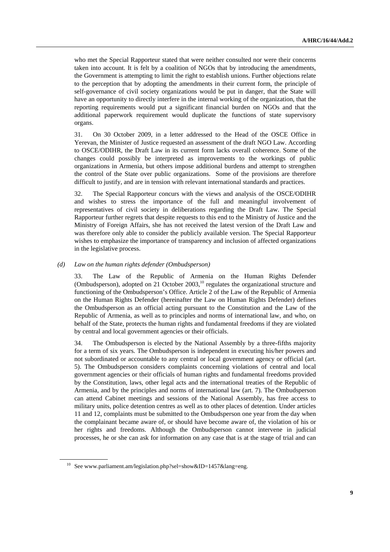who met the Special Rapporteur stated that were neither consulted nor were their concerns taken into account. It is felt by a coalition of NGOs that by introducing the amendments, the Government is attempting to limit the right to establish unions. Further objections relate to the perception that by adopting the amendments in their current form, the principle of self-governance of civil society organizations would be put in danger, that the State will have an opportunity to directly interfere in the internal working of the organization, that the reporting requirements would put a significant financial burden on NGOs and that the additional paperwork requirement would duplicate the functions of state supervisory organs.

31. On 30 October 2009, in a letter addressed to the Head of the OSCE Office in Yerevan, the Minister of Justice requested an assessment of the draft NGO Law. According to OSCE/ODIHR, the Draft Law in its current form lacks overall coherence. Some of the changes could possibly be interpreted as improvements to the workings of public organizations in Armenia, but others impose additional burdens and attempt to strengthen the control of the State over public organizations. Some of the provisions are therefore difficult to justify, and are in tension with relevant international standards and practices.

32. The Special Rapporteur concurs with the views and analysis of the OSCE/ODIHR and wishes to stress the importance of the full and meaningful involvement of representatives of civil society in deliberations regarding the Draft Law. The Special Rapporteur further regrets that despite requests to this end to the Ministry of Justice and the Ministry of Foreign Affairs, she has not received the latest version of the Draft Law and was therefore only able to consider the publicly available version. The Special Rapporteur wishes to emphasize the importance of transparency and inclusion of affected organizations in the legislative process.

#### *(d) Law on the human rights defender (Ombudsperson)*

33. The Law of the Republic of Armenia on the Human Rights Defender (Ombudsperson), adopted on  $21$  October 2003,<sup>10</sup> regulates the organizational structure and functioning of the Ombudsperson's Office. Article 2 of the Law of the Republic of Armenia on the Human Rights Defender (hereinafter the Law on Human Rights Defender) defines the Ombudsperson as an official acting pursuant to the Constitution and the Law of the Republic of Armenia, as well as to principles and norms of international law, and who, on behalf of the State, protects the human rights and fundamental freedoms if they are violated by central and local government agencies or their officials.

34. The Ombudsperson is elected by the National Assembly by a three-fifths majority for a term of six years. The Ombudsperson is independent in executing his/her powers and not subordinated or accountable to any central or local government agency or official (art. 5). The Ombudsperson considers complaints concerning violations of central and local government agencies or their officials of human rights and fundamental freedoms provided by the Constitution, laws, other legal acts and the international treaties of the Republic of Armenia, and by the principles and norms of international law (art. 7). The Ombudsperson can attend Cabinet meetings and sessions of the National Assembly, has free access to military units, police detention centres as well as to other places of detention. Under articles 11 and 12, complaints must be submitted to the Ombudsperson one year from the day when the complainant became aware of, or should have become aware of, the violation of his or her rights and freedoms. Although the Ombudsperson cannot intervene in judicial processes, he or she can ask for information on any case that is at the stage of trial and can

<sup>&</sup>lt;sup>10</sup> See www.parliament.am/legislation.php?sel=show&ID=1457&lang=eng.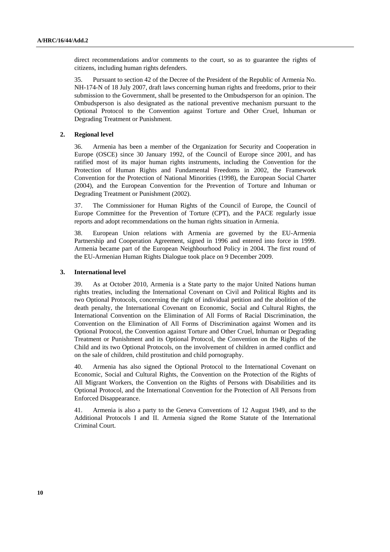direct recommendations and/or comments to the court, so as to guarantee the rights of citizens, including human rights defenders.

35. Pursuant to section 42 of the Decree of the President of the Republic of Armenia No. NH-174-N of 18 July 2007, draft laws concerning human rights and freedoms, prior to their submission to the Government, shall be presented to the Ombudsperson for an opinion. The Ombudsperson is also designated as the national preventive mechanism pursuant to the Optional Protocol to the Convention against Torture and Other Cruel, Inhuman or Degrading Treatment or Punishment.

#### **2. Regional level**

36. Armenia has been a member of the Organization for Security and Cooperation in Europe (OSCE) since 30 January 1992, of the Council of Europe since 2001, and has ratified most of its major human rights instruments, including the Convention for the Protection of Human Rights and Fundamental Freedoms in 2002, the Framework Convention for the Protection of National Minorities (1998), the European Social Charter (2004), and the European Convention for the Prevention of Torture and Inhuman or Degrading Treatment or Punishment (2002).

37. The Commissioner for Human Rights of the Council of Europe, the Council of Europe Committee for the Prevention of Torture (CPT), and the PACE regularly issue reports and adopt recommendations on the human rights situation in Armenia.

38. European Union relations with Armenia are governed by the EU-Armenia Partnership and Cooperation Agreement, signed in 1996 and entered into force in 1999. Armenia became part of the European Neighbourhood Policy in 2004. The first round of the EU-Armenian Human Rights Dialogue took place on 9 December 2009.

#### **3. International level**

39. As at October 2010, Armenia is a State party to the major United Nations human rights treaties, including the International Covenant on Civil and Political Rights and its two Optional Protocols, concerning the right of individual petition and the abolition of the death penalty, the International Covenant on Economic, Social and Cultural Rights, the International Convention on the Elimination of All Forms of Racial Discrimination, the Convention on the Elimination of All Forms of Discrimination against Women and its Optional Protocol, the Convention against Torture and Other Cruel, Inhuman or Degrading Treatment or Punishment and its Optional Protocol, the Convention on the Rights of the Child and its two Optional Protocols, on the involvement of children in armed conflict and on the sale of children, child prostitution and child pornography.

40. Armenia has also signed the Optional Protocol to the International Covenant on Economic, Social and Cultural Rights, the Convention on the Protection of the Rights of All Migrant Workers, the Convention on the Rights of Persons with Disabilities and its Optional Protocol, and the International Convention for the Protection of All Persons from Enforced Disappearance.

41. Armenia is also a party to the Geneva Conventions of 12 August 1949, and to the Additional Protocols I and II. Armenia signed the Rome Statute of the International Criminal Court.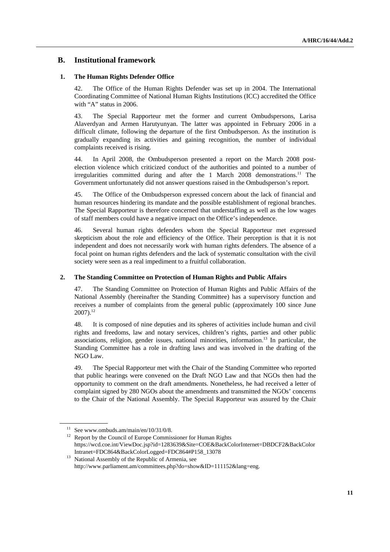## **B. Institutional framework**

#### **1. The Human Rights Defender Office**

42. The Office of the Human Rights Defender was set up in 2004. The International Coordinating Committee of National Human Rights Institutions (ICC) accredited the Office with "A" status in 2006.

43. The Special Rapporteur met the former and current Ombudspersons, Larisa Alaverdyan and Armen Harutyunyan. The latter was appointed in February 2006 in a difficult climate, following the departure of the first Ombudsperson. As the institution is gradually expanding its activities and gaining recognition, the number of individual complaints received is rising.

44. In April 2008, the Ombudsperson presented a report on the March 2008 postelection violence which criticized conduct of the authorities and pointed to a number of irregularities committed during and after the 1 March 2008 demonstrations.<sup>11</sup> The Government unfortunately did not answer questions raised in the Ombudsperson's report.

45. The Office of the Ombudsperson expressed concern about the lack of financial and human resources hindering its mandate and the possible establishment of regional branches. The Special Rapporteur is therefore concerned that understaffing as well as the low wages of staff members could have a negative impact on the Office's independence.

46. Several human rights defenders whom the Special Rapporteur met expressed skepticism about the role and efficiency of the Office. Their perception is that it is not independent and does not necessarily work with human rights defenders. The absence of a focal point on human rights defenders and the lack of systematic consultation with the civil society were seen as a real impediment to a fruitful collaboration.

#### **2. The Standing Committee on Protection of Human Rights and Public Affairs**

47. The Standing Committee on Protection of Human Rights and Public Affairs of the National Assembly (hereinafter the Standing Committee) has a supervisory function and receives a number of complaints from the general public (approximately 100 since June  $2007$ ).<sup>12</sup>

48. It is composed of nine deputies and its spheres of activities include human and civil rights and freedoms, law and notary services, children's rights, parties and other public associations, religion, gender issues, national minorities, information.13 In particular, the Standing Committee has a role in drafting laws and was involved in the drafting of the NGO Law.

49. The Special Rapporteur met with the Chair of the Standing Committee who reported that public hearings were convened on the Draft NGO Law and that NGOs then had the opportunity to comment on the draft amendments. Nonetheless, he had received a letter of complaint signed by 280 NGOs about the amendments and transmitted the NGOs' concerns to the Chair of the National Assembly. The Special Rapporteur was assured by the Chair

<sup>&</sup>lt;sup>11</sup> See www.ombuds.am/main/en/10/31/0/8.<br><sup>12</sup> Report by the Council of Europe Commissioner for Human Rights https://wcd.coe.int/ViewDoc.jsp?id=1283639&Site=COE&BackColorInternet=DBDCF2&BackColor

Intranet=FDC864&BackColorLogged=FDC864#P158\_13078 13 National Assembly of the Republic of Armenia, see http://www.parliament.am/committees.php?do=show&ID=111152&lang=eng.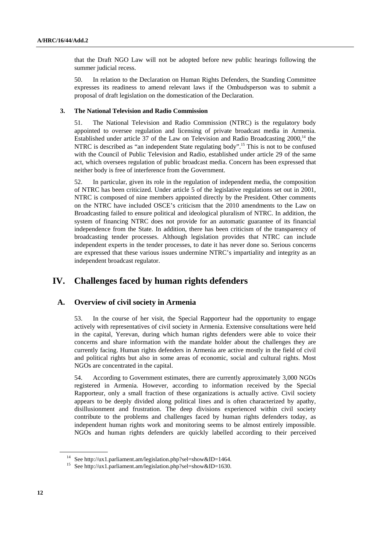that the Draft NGO Law will not be adopted before new public hearings following the summer judicial recess.

50. In relation to the Declaration on Human Rights Defenders, the Standing Committee expresses its readiness to amend relevant laws if the Ombudsperson was to submit a proposal of draft legislation on the domestication of the Declaration.

#### **3. The National Television and Radio Commission**

51. The National Television and Radio Commission (NTRC) is the regulatory body appointed to oversee regulation and licensing of private broadcast media in Armenia. Established under article 37 of the Law on Television and Radio Broadcasting  $2000$ ,<sup>14</sup> the NTRC is described as "an independent State regulating body".<sup>15</sup> This is not to be confused with the Council of Public Television and Radio, established under article 29 of the same act, which oversees regulation of public broadcast media. Concern has been expressed that neither body is free of interference from the Government.

52. In particular, given its role in the regulation of independent media, the composition of NTRC has been criticized. Under article 5 of the legislative regulations set out in 2001, NTRC is composed of nine members appointed directly by the President. Other comments on the NTRC have included OSCE's criticism that the 2010 amendments to the Law on Broadcasting failed to ensure political and ideological pluralism of NTRC. In addition, the system of financing NTRC does not provide for an automatic guarantee of its financial independence from the State. In addition, there has been criticism of the transparency of broadcasting tender processes. Although legislation provides that NTRC can include independent experts in the tender processes, to date it has never done so. Serious concerns are expressed that these various issues undermine NTRC's impartiality and integrity as an independent broadcast regulator.

## **IV. Challenges faced by human rights defenders**

## **A. Overview of civil society in Armenia**

53. In the course of her visit, the Special Rapporteur had the opportunity to engage actively with representatives of civil society in Armenia. Extensive consultations were held in the capital, Yerevan, during which human rights defenders were able to voice their concerns and share information with the mandate holder about the challenges they are currently facing. Human rights defenders in Armenia are active mostly in the field of civil and political rights but also in some areas of economic, social and cultural rights. Most NGOs are concentrated in the capital.

54. According to Government estimates, there are currently approximately 3,000 NGOs registered in Armenia. However, according to information received by the Special Rapporteur, only a small fraction of these organizations is actually active. Civil society appears to be deeply divided along political lines and is often characterized by apathy, disillusionment and frustration. The deep divisions experienced within civil society contribute to the problems and challenges faced by human rights defenders today, as independent human rights work and monitoring seems to be almost entirely impossible. NGOs and human rights defenders are quickly labelled according to their perceived

<sup>&</sup>lt;sup>14</sup> See http://ux1.parliament.am/legislation.php?sel=show&ID=1464.<br><sup>15</sup> See http://ux1.parliament.am/legislation.php?sel=show&ID=1630.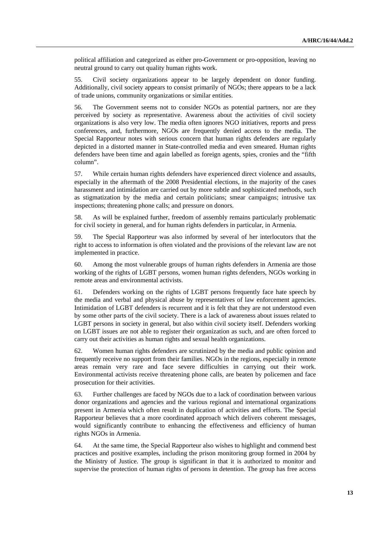political affiliation and categorized as either pro-Government or pro-opposition, leaving no neutral ground to carry out quality human rights work.

55. Civil society organizations appear to be largely dependent on donor funding. Additionally, civil society appears to consist primarily of NGOs; there appears to be a lack of trade unions, community organizations or similar entities.

56. The Government seems not to consider NGOs as potential partners, nor are they perceived by society as representative. Awareness about the activities of civil society organizations is also very low. The media often ignores NGO initiatives, reports and press conferences, and, furthermore, NGOs are frequently denied access to the media. The Special Rapporteur notes with serious concern that human rights defenders are regularly depicted in a distorted manner in State-controlled media and even smeared. Human rights defenders have been time and again labelled as foreign agents, spies, cronies and the "fifth column".

57. While certain human rights defenders have experienced direct violence and assaults, especially in the aftermath of the 2008 Presidential elections, in the majority of the cases harassment and intimidation are carried out by more subtle and sophisticated methods, such as stigmatization by the media and certain politicians; smear campaigns; intrusive tax inspections; threatening phone calls; and pressure on donors.

58. As will be explained further, freedom of assembly remains particularly problematic for civil society in general, and for human rights defenders in particular, in Armenia.

59. The Special Rapporteur was also informed by several of her interlocutors that the right to access to information is often violated and the provisions of the relevant law are not implemented in practice.

60. Among the most vulnerable groups of human rights defenders in Armenia are those working of the rights of LGBT persons, women human rights defenders, NGOs working in remote areas and environmental activists.

61. Defenders working on the rights of LGBT persons frequently face hate speech by the media and verbal and physical abuse by representatives of law enforcement agencies. Intimidation of LGBT defenders is recurrent and it is felt that they are not understood even by some other parts of the civil society. There is a lack of awareness about issues related to LGBT persons in society in general, but also within civil society itself. Defenders working on LGBT issues are not able to register their organization as such, and are often forced to carry out their activities as human rights and sexual health organizations.

62. Women human rights defenders are scrutinized by the media and public opinion and frequently receive no support from their families. NGOs in the regions, especially in remote areas remain very rare and face severe difficulties in carrying out their work. Environmental activists receive threatening phone calls, are beaten by policemen and face prosecution for their activities.

63. Further challenges are faced by NGOs due to a lack of coordination between various donor organizations and agencies and the various regional and international organizations present in Armenia which often result in duplication of activities and efforts. The Special Rapporteur believes that a more coordinated approach which delivers coherent messages, would significantly contribute to enhancing the effectiveness and efficiency of human rights NGOs in Armenia.

64. At the same time, the Special Rapporteur also wishes to highlight and commend best practices and positive examples, including the prison monitoring group formed in 2004 by the Ministry of Justice. The group is significant in that it is authorized to monitor and supervise the protection of human rights of persons in detention. The group has free access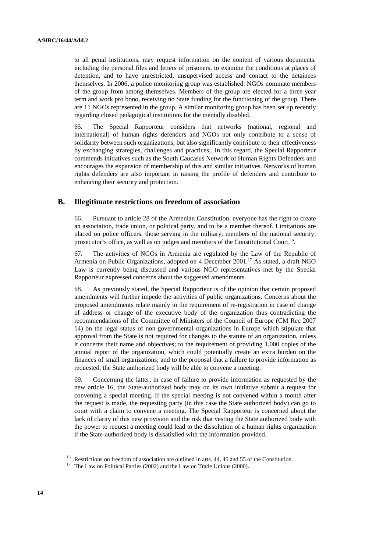to all penal institutions, may request information on the content of various documents, including the personal files and letters of prisoners, to examine the conditions at places of detention, and to have unrestricted, unsupervised access and contact to the detainees themselves. In 2006, a police monitoring group was established. NGOs nominate members of the group from among themselves. Members of the group are elected for a three-year term and work pro bono, receiving no State funding for the functioning of the group. There are 11 NGOs represented in the group. A similar monitoring group has been set up recently regarding closed pedagogical institutions for the mentally disabled.

65. The Special Rapporteur considers that networks (national, regional and international) of human rights defenders and NGOs not only contribute to a sense of solidarity between such organizations, but also significantly contribute to their effectiveness by exchanging strategies, challenges and practices,. In this regard, the Special Rapporteur commends initiatives such as the South Caucasus Network of Human Rights Defenders and encourages the expansion of membership of this and similar initiatives. Networks of human rights defenders are also important in raising the profile of defenders and contribute to enhancing their security and protection.

## **B. Illegitimate restrictions on freedom of association**

66. Pursuant to article 28 of the Armenian Constitution, everyone has the right to create an association, trade union, or political party, and to be a member thereof. Limitations are placed on police officers, those serving in the military, members of the national security, prosecutor's office, as well as on judges and members of the Constitutional Court.16.

67. The activities of NGOs in Armenia are regulated by the Law of the Republic of Armenia on Public Organizations, adopted on 4 December 2001.<sup>17</sup> As stated, a draft NGO Law is currently being discussed and various NGO representatives met by the Special Rapporteur expressed concerns about the suggested amendments.

68. As previously stated, the Special Rapporteur is of the opinion that certain proposed amendments will further impede the activities of public organizations. Concerns about the proposed amendments relate mainly to the requirement of re-registration in case of change of address or change of the executive body of the organization thus contradicting the recommendations of the Committee of Ministers of the Council of Europe (CM Rec 2007 14) on the legal status of non-governmental organizations in Europe which stipulate that approval from the State is not required for changes to the statute of an organization, unless it concerns their name and objectives; to the requirement of providing 1,000 copies of the annual report of the organization, which could potentially create an extra burden on the finances of small organizations; and to the proposal that a failure to provide information as requested, the State authorized body will be able to convene a meeting.

69. Concerning the latter, in case of failure to provide information as requested by the new article 16, the State-authorized body may on its own initiative submit a request for convening a special meeting. If the special meeting is not convened within a month after the request is made, the requesting party (in this case the State authorized body) can go to court with a claim to convene a meeting. The Special Rapporteur is concerned about the lack of clarity of this new provision and the risk that vesting the State authorized body with the power to request a meeting could lead to the dissolution of a human rights organization if the State-authorized body is dissatisfied with the information provided.

<sup>&</sup>lt;sup>16</sup> Restrictions on freedom of association are outlined in arts. 44, 45 and 55 of the Constitution.

<sup>&</sup>lt;sup>17</sup> The Law on Political Parties (2002) and the Law on Trade Unions (2000).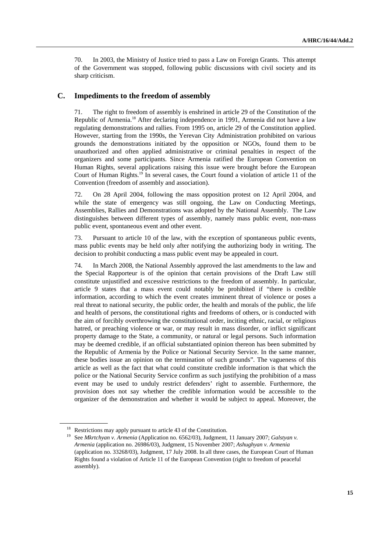70. In 2003, the Ministry of Justice tried to pass a Law on Foreign Grants. This attempt of the Government was stopped, following public discussions with civil society and its sharp criticism.

## **C. Impediments to the freedom of assembly**

71. The right to freedom of assembly is enshrined in article 29 of the Constitution of the Republic of Armenia.18 After declaring independence in 1991, Armenia did not have a law regulating demonstrations and rallies. From 1995 on, article 29 of the Constitution applied. However, starting from the 1990s, the Yerevan City Administration prohibited on various grounds the demonstrations initiated by the opposition or NGOs, found them to be unauthorized and often applied administrative or criminal penalties in respect of the organizers and some participants. Since Armenia ratified the European Convention on Human Rights, several applications raising this issue were brought before the European Court of Human Rights.19 In several cases, the Court found a violation of article 11 of the Convention (freedom of assembly and association).

72. On 28 April 2004, following the mass opposition protest on 12 April 2004, and while the state of emergency was still ongoing, the Law on Conducting Meetings, Assemblies, Rallies and Demonstrations was adopted by the National Assembly. The Law distinguishes between different types of assembly, namely mass public event, non-mass public event, spontaneous event and other event.

73. Pursuant to article 10 of the law, with the exception of spontaneous public events, mass public events may be held only after notifying the authorizing body in writing. The decision to prohibit conducting a mass public event may be appealed in court.

74. In March 2008, the National Assembly approved the last amendments to the law and the Special Rapporteur is of the opinion that certain provisions of the Draft Law still constitute unjustified and excessive restrictions to the freedom of assembly. In particular, article 9 states that a mass event could notably be prohibited if "there is credible information, according to which the event creates imminent threat of violence or poses a real threat to national security, the public order, the health and morals of the public, the life and health of persons, the constitutional rights and freedoms of others, or is conducted with the aim of forcibly overthrowing the constitutional order, inciting ethnic, racial, or religious hatred, or preaching violence or war, or may result in mass disorder, or inflict significant property damage to the State, a community, or natural or legal persons. Such information may be deemed credible, if an official substantiated opinion thereon has been submitted by the Republic of Armenia by the Police or National Security Service. In the same manner, these bodies issue an opinion on the termination of such grounds". The vagueness of this article as well as the fact that what could constitute credible information is that which the police or the National Security Service confirm as such justifying the prohibition of a mass event may be used to unduly restrict defenders' right to assemble. Furthermore, the provision does not say whether the credible information would be accessible to the organizer of the demonstration and whether it would be subject to appeal. Moreover, the

<sup>&</sup>lt;sup>18</sup> Restrictions may apply pursuant to article 43 of the Constitution.

<sup>19</sup> See *Mkrtchyan v. Armenia* (Application no. 6562/03), Judgment, 11 January 2007; *Galstyan v. Armenia* (application no. 26986/03), Judgment, 15 November 2007; *Ashughyan v. Armenia*  (application no. 33268/03), Judgment, 17 July 2008. In all three cases, the European Court of Human Rights found a violation of Article 11 of the European Convention (right to freedom of peaceful assembly).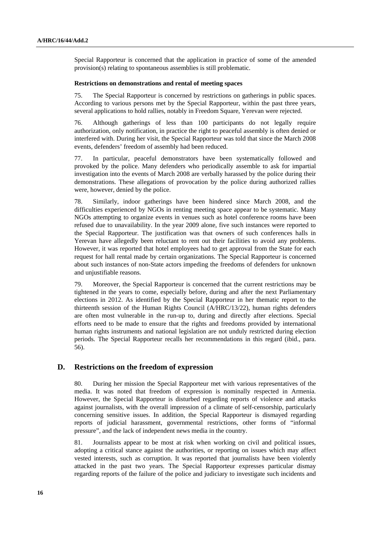Special Rapporteur is concerned that the application in practice of some of the amended provision(s) relating to spontaneous assemblies is still problematic.

#### **Restrictions on demonstrations and rental of meeting spaces**

75. The Special Rapporteur is concerned by restrictions on gatherings in public spaces. According to various persons met by the Special Rapporteur, within the past three years, several applications to hold rallies, notably in Freedom Square, Yerevan were rejected.

76. Although gatherings of less than 100 participants do not legally require authorization, only notification, in practice the right to peaceful assembly is often denied or interfered with. During her visit, the Special Rapporteur was told that since the March 2008 events, defenders' freedom of assembly had been reduced.

77. In particular, peaceful demonstrators have been systematically followed and provoked by the police. Many defenders who periodically assemble to ask for impartial investigation into the events of March 2008 are verbally harassed by the police during their demonstrations. These allegations of provocation by the police during authorized rallies were, however, denied by the police.

78. Similarly, indoor gatherings have been hindered since March 2008, and the difficulties experienced by NGOs in renting meeting space appear to be systematic. Many NGOs attempting to organize events in venues such as hotel conference rooms have been refused due to unavailability. In the year 2009 alone, five such instances were reported to the Special Rapporteur. The justification was that owners of such conferences halls in Yerevan have allegedly been reluctant to rent out their facilities to avoid any problems. However, it was reported that hotel employees had to get approval from the State for each request for hall rental made by certain organizations. The Special Rapporteur is concerned about such instances of non-State actors impeding the freedoms of defenders for unknown and unjustifiable reasons.

79. Moreover, the Special Rapporteur is concerned that the current restrictions may be tightened in the years to come, especially before, during and after the next Parliamentary elections in 2012. As identified by the Special Rapporteur in her thematic report to the thirteenth session of the Human Rights Council (A/HRC/13/22), human rights defenders are often most vulnerable in the run-up to, during and directly after elections. Special efforts need to be made to ensure that the rights and freedoms provided by international human rights instruments and national legislation are not unduly restricted during election periods. The Special Rapporteur recalls her recommendations in this regard (ibid., para. 56).

## **D. Restrictions on the freedom of expression**

80. During her mission the Special Rapporteur met with various representatives of the media. It was noted that freedom of expression is nominally respected in Armenia. However, the Special Rapporteur is disturbed regarding reports of violence and attacks against journalists, with the overall impression of a climate of self-censorship, particularly concerning sensitive issues. In addition, the Special Rapporteur is dismayed regarding reports of judicial harassment, governmental restrictions, other forms of "informal pressure", and the lack of independent news media in the country.

81. Journalists appear to be most at risk when working on civil and political issues, adopting a critical stance against the authorities, or reporting on issues which may affect vested interests, such as corruption. It was reported that journalists have been violently attacked in the past two years. The Special Rapporteur expresses particular dismay regarding reports of the failure of the police and judiciary to investigate such incidents and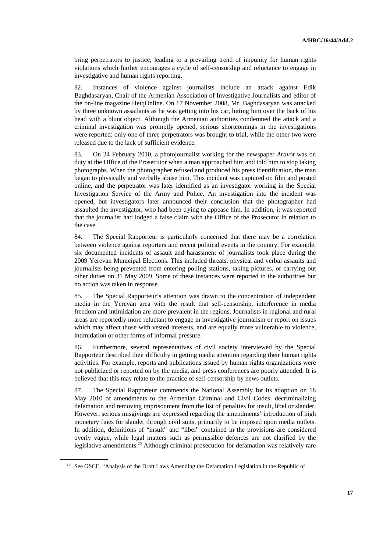bring perpetrators to justice, leading to a prevailing trend of impunity for human rights violations which further encourages a cycle of self-censorship and reluctance to engage in investigative and human rights reporting.

82. Instances of violence against journalists include an attack against Edik Baghdasaryan, Chair of the Armenian Association of Investigative Journalists and editor of the on-line magazine HetqOnline. On 17 November 2008, Mr. Baghdasaryan was attacked by three unknown assailants as he was getting into his car, hitting him over the back of his head with a blunt object. Although the Armenian authorities condemned the attack and a criminal investigation was promptly opened, serious shortcomings in the investigations were reported: only one of three perpetrators was brought to trial, while the other two were released due to the lack of sufficient evidence.

83. On 24 February 2010, a photojournalist working for the newspaper *Aravot* was on duty at the Office of the Prosecutor when a man approached him and told him to stop taking photographs. When the photographer refused and produced his press identification, the man began to physically and verbally abuse him. This incident was captured on film and posted online, and the perpetrator was later identified as an investigator working in the Special Investigation Service of the Army and Police. An investigation into the incident was opened, but investigators later announced their conclusion that the photographer had assaulted the investigator, who had been trying to appease him. In addition, it was reported that the journalist had lodged a false claim with the Office of the Prosecutor in relation to the case.

84. The Special Rapporteur is particularly concerned that there may be a correlation between violence against reporters and recent political events in the country. For example, six documented incidents of assault and harassment of journalists took place during the 2009 Yerevan Municipal Elections. This included threats, physical and verbal assaults and journalists being prevented from entering polling stations, taking pictures, or carrying out other duties on 31 May 2009. Some of these instances were reported to the authorities but no action was taken in response.

85. The Special Rapporteur's attention was drawn to the concentration of independent media in the Yerevan area with the result that self-censorship, interference in media freedom and intimidation are more prevalent in the regions. Journalists in regional and rural areas are reportedly more reluctant to engage in investigative journalism or report on issues which may affect those with vested interests, and are equally more vulnerable to violence, intimidation or other forms of informal pressure.

86. Furthermore, several representatives of civil society interviewed by the Special Rapporteur described their difficulty in getting media attention regarding their human rights activities. For example, reports and publications issued by human rights organizations were not publicized or reported on by the media, and press conferences are poorly attended. It is believed that this may relate to the practice of self-censorship by news outlets.

87. The Special Rapporteur commends the National Assembly for its adoption on 18 May 2010 of amendments to the Armenian Criminal and Civil Codes, decriminalizing defamation and removing imprisonment from the list of penalties for insult, libel or slander. However, serious misgivings are expressed regarding the amendments' introduction of high monetary fines for slander through civil suits, primarily to be imposed upon media outlets. In addition, definitions of "insult" and "libel" contained in the provisions are considered overly vague, while legal matters such as permissible defences are not clarified by the legislative amendments.<sup>20</sup> Although criminal prosecution for defamation was relatively rare

<sup>&</sup>lt;sup>20</sup> See OSCE, "Analysis of the Draft Laws Amending the Defamation Legislation in the Republic of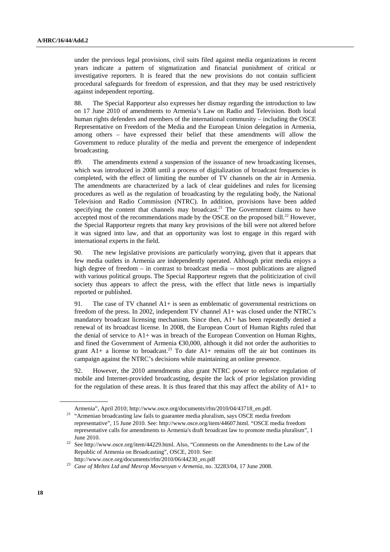under the previous legal provisions, civil suits filed against media organizations in recent years indicate a pattern of stigmatization and financial punishment of critical or investigative reporters. It is feared that the new provisions do not contain sufficient procedural safeguards for freedom of expression, and that they may be used restrictively against independent reporting.

88. The Special Rapporteur also expresses her dismay regarding the introduction to law on 17 June 2010 of amendments to Armenia's Law on Radio and Television. Both local human rights defenders and members of the international community – including the OSCE Representative on Freedom of the Media and the European Union delegation in Armenia, among others – have expressed their belief that these amendments will allow the Government to reduce plurality of the media and prevent the emergence of independent broadcasting.

89. The amendments extend a suspension of the issuance of new broadcasting licenses, which was introduced in 2008 until a process of digitalization of broadcast frequencies is completed, with the effect of limiting the number of TV channels on the air in Armenia. The amendments are characterized by a lack of clear guidelines and rules for licensing procedures as well as the regulation of broadcasting by the regulating body, the National Television and Radio Commission (NTRC). In addition, provisions have been added specifying the content that channels may broadcast.<sup>21</sup> The Government claims to have accepted most of the recommendations made by the OSCE on the proposed bill.<sup>22</sup> However, the Special Rapporteur regrets that many key provisions of the bill were not altered before it was signed into law, and that an opportunity was lost to engage in this regard with international experts in the field.

90. The new legislative provisions are particularly worrying, given that it appears that few media outlets in Armenia are independently operated. Although print media enjoys a high degree of freedom – in contrast to broadcast media -- most publications are aligned with various political groups. The Special Rapporteur regrets that the politicization of civil society thus appears to affect the press, with the effect that little news is impartially reported or published.

91. The case of TV channel A1+ is seen as emblematic of governmental restrictions on freedom of the press. In 2002, independent TV channel A1+ was closed under the NTRC's mandatory broadcast licensing mechanism. Since then, A1+ has been repeatedly denied a renewal of its broadcast license. In 2008, the European Court of Human Rights ruled that the denial of service to A1+ was in breach of the European Convention on Human Rights, and fined the Government of Armenia €30,000, although it did not order the authorities to grant  $A1+$  a license to broadcast.<sup>23</sup> To date  $A1+$  remains off the air but continues its campaign against the NTRC's decisions while maintaining an online presence.

92. However, the 2010 amendments also grant NTRC power to enforce regulation of mobile and Internet-provided broadcasting, despite the lack of prior legislation providing for the regulation of these areas. It is thus feared that this may affect the ability of  $A1+$  to

Armenia", April 2010; http://www.osce.org/documents/rfm/2010/04/43718\_en.pdf. 21 "Armenian broadcasting law fails to guarantee media pluralism, says OSCE media freedom representative", 15 June 2010. See: http://www.osce.org/item/44607.html. "OSCE media freedom representative calls for amendments to Armenia's draft broadcast law to promote media pluralism", 1

June 2010. 22 See http://www.osce.org/item/44229.html. Also, "Comments on the Amendments to the Law of the Republic of Armenia on Broadcasting", OSCE, 2010. See:

http://www.osce.org/documents/rfm/2010/06/44230\_en.pdf 23 *Case of Meltex Ltd and Mesrop Movsesyan v Armenia*, no. 32283/04, 17 June 2008.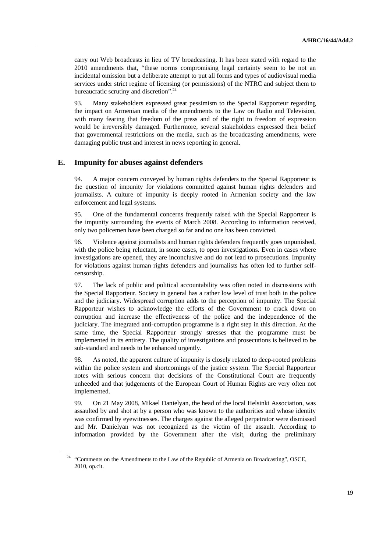carry out Web broadcasts in lieu of TV broadcasting. It has been stated with regard to the 2010 amendments that, "these norms compromising legal certainty seem to be not an incidental omission but a deliberate attempt to put all forms and types of audiovisual media services under strict regime of licensing (or permissions) of the NTRC and subject them to bureaucratic scrutiny and discretion".24

93. Many stakeholders expressed great pessimism to the Special Rapporteur regarding the impact on Armenian media of the amendments to the Law on Radio and Television, with many fearing that freedom of the press and of the right to freedom of expression would be irreversibly damaged. Furthermore, several stakeholders expressed their belief that governmental restrictions on the media, such as the broadcasting amendments, were damaging public trust and interest in news reporting in general.

## **E. Impunity for abuses against defenders**

94. A major concern conveyed by human rights defenders to the Special Rapporteur is the question of impunity for violations committed against human rights defenders and journalists. A culture of impunity is deeply rooted in Armenian society and the law enforcement and legal systems.

95. One of the fundamental concerns frequently raised with the Special Rapporteur is the impunity surrounding the events of March 2008. According to information received, only two policemen have been charged so far and no one has been convicted.

96. Violence against journalists and human rights defenders frequently goes unpunished, with the police being reluctant, in some cases, to open investigations. Even in cases where investigations are opened, they are inconclusive and do not lead to prosecutions. Impunity for violations against human rights defenders and journalists has often led to further selfcensorship.

97. The lack of public and political accountability was often noted in discussions with the Special Rapporteur. Society in general has a rather low level of trust both in the police and the judiciary. Widespread corruption adds to the perception of impunity. The Special Rapporteur wishes to acknowledge the efforts of the Government to crack down on corruption and increase the effectiveness of the police and the independence of the judiciary. The integrated anti-corruption programme is a right step in this direction. At the same time, the Special Rapporteur strongly stresses that the programme must be implemented in its entirety. The quality of investigations and prosecutions is believed to be sub-standard and needs to be enhanced urgently.

98. As noted, the apparent culture of impunity is closely related to deep-rooted problems within the police system and shortcomings of the justice system. The Special Rapporteur notes with serious concern that decisions of the Constitutional Court are frequently unheeded and that judgements of the European Court of Human Rights are very often not implemented.

99. On 21 May 2008, Mikael Danielyan, the head of the local Helsinki Association, was assaulted by and shot at by a person who was known to the authorities and whose identity was confirmed by eyewitnesses. The charges against the alleged perpetrator were dismissed and Mr. Danielyan was not recognized as the victim of the assault. According to information provided by the Government after the visit, during the preliminary

<sup>&</sup>lt;sup>24</sup> "Comments on the Amendments to the Law of the Republic of Armenia on Broadcasting", OSCE, 2010, op.cit.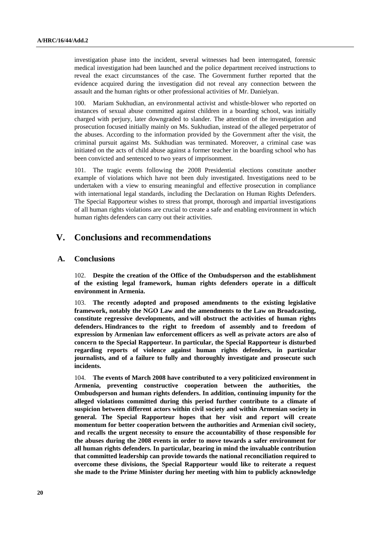investigation phase into the incident, several witnesses had been interrogated, forensic medical investigation had been launched and the police department received instructions to reveal the exact circumstances of the case. The Government further reported that the evidence acquired during the investigation did not reveal any connection between the assault and the human rights or other professional activities of Mr. Danielyan.

100. Mariam Sukhudian, an environmental activist and whistle-blower who reported on instances of sexual abuse committed against children in a boarding school, was initially charged with perjury, later downgraded to slander. The attention of the investigation and prosecution focused initially mainly on Ms. Sukhudian, instead of the alleged perpetrator of the abuses. According to the information provided by the Government after the visit, the criminal pursuit against Ms. Sukhudian was terminated. Moreover, a criminal case was initiated on the acts of child abuse against a former teacher in the boarding school who has been convicted and sentenced to two years of imprisonment.

101. The tragic events following the 2008 Presidential elections constitute another example of violations which have not been duly investigated. Investigations need to be undertaken with a view to ensuring meaningful and effective prosecution in compliance with international legal standards, including the Declaration on Human Rights Defenders. The Special Rapporteur wishes to stress that prompt, thorough and impartial investigations of all human rights violations are crucial to create a safe and enabling environment in which human rights defenders can carry out their activities.

## **V. Conclusions and recommendations**

#### **A. Conclusions**

102. **Despite the creation of the Office of the Ombudsperson and the establishment of the existing legal framework, human rights defenders operate in a difficult environment in Armenia.** 

103. **The recently adopted and proposed amendments to the existing legislative framework, notably the NGO Law and the amendments to the Law on Broadcasting, constitute regressive developments, and will obstruct the activities of human rights defenders. Hindrances to the right to freedom of assembly and to freedom of expression by Armenian law enforcement officers as well as private actors are also of concern to the Special Rapporteur. In particular, the Special Rapporteur is disturbed regarding reports of violence against human rights defenders, in particular journalists, and of a failure to fully and thoroughly investigate and prosecute such incidents.** 

104. **The events of March 2008 have contributed to a very politicized environment in Armenia, preventing constructive cooperation between the authorities, the Ombudsperson and human rights defenders. In addition, continuing impunity for the alleged violations committed during this period further contribute to a climate of suspicion between different actors within civil society and within Armenian society in general. The Special Rapporteur hopes that her visit and report will create momentum for better cooperation between the authorities and Armenian civil society, and recalls the urgent necessity to ensure the accountability of those responsible for the abuses during the 2008 events in order to move towards a safer environment for all human rights defenders. In particular, bearing in mind the invaluable contribution that committed leadership can provide towards the national reconciliation required to overcome these divisions, the Special Rapporteur would like to reiterate a request she made to the Prime Minister during her meeting with him to publicly acknowledge**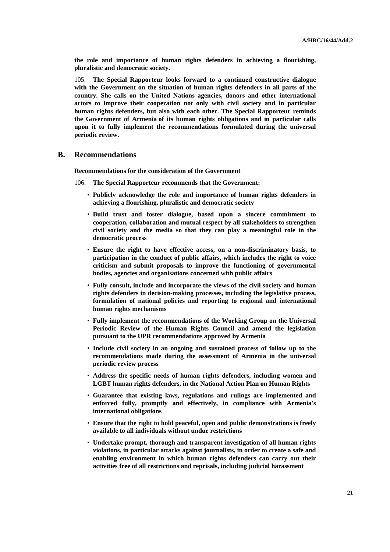**the role and importance of human rights defenders in achieving a flourishing, pluralistic and democratic society.** 

105. **The Special Rapporteur looks forward to a continued constructive dialogue with the Government on the situation of human rights defenders in all parts of the country. She calls on the United Nations agencies, donors and other international actors to improve their cooperation not only with civil society and in particular human rights defenders, but also with each other. The Special Rapporteur reminds the Government of Armenia of its human rights obligations and in particular calls upon it to fully implement the recommendations formulated during the universal periodic review.** 

## **B. Recommendations**

 **Recommendations for the consideration of the Government** 

106. **The Special Rapporteur recommends that the Government:** 

- **Publicly acknowledge the role and importance of human rights defenders in achieving a flourishing, pluralistic and democratic society**
- **Build trust and foster dialogue, based upon a sincere commitment to cooperation, collaboration and mutual respect by all stakeholders to strengthen civil society and the media so that they can play a meaningful role in the democratic process**
- **Ensure the right to have effective access, on a non-discriminatory basis, to participation in the conduct of public affairs, which includes the right to voice criticism and submit proposals to improve the functioning of governmental bodies, agencies and organisations concerned with public affairs**
- **Fully consult, include and incorporate the views of the civil society and human rights defenders in decision-making processes, including the legislative process, formulation of national policies and reporting to regional and international human rights mechanisms**
- **Fully implement the recommendations of the Working Group on the Universal Periodic Review of the Human Rights Council and amend the legislation pursuant to the UPR recommendations approved by Armenia**
- **Include civil society in an ongoing and sustained process of follow up to the recommendations made during the assessment of Armenia in the universal periodic review process**
- **Address the specific needs of human rights defenders, including women and LGBT human rights defenders, in the National Action Plan on Human Rights**
- **Guarantee that existing laws, regulations and rulings are implemented and enforced fully, promptly and effectively, in compliance with Armenia's international obligations**
- **Ensure that the right to hold peaceful, open and public demonstrations is freely available to all individuals without undue restrictions**
- **Undertake prompt, thorough and transparent investigation of all human rights violations, in particular attacks against journalists, in order to create a safe and enabling environment in which human rights defenders can carry out their activities free of all restrictions and reprisals, including judicial harassment**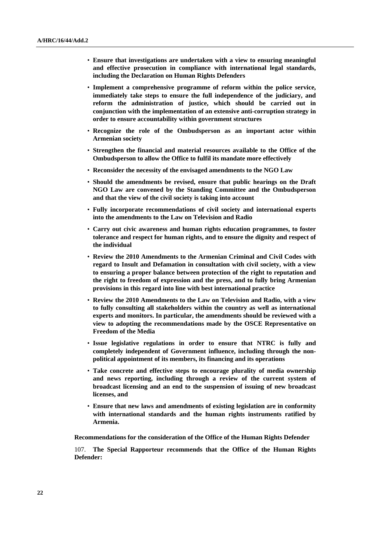- **Ensure that investigations are undertaken with a view to ensuring meaningful and effective prosecution in compliance with international legal standards, including the Declaration on Human Rights Defenders**
- **Implement a comprehensive programme of reform within the police service, immediately take steps to ensure the full independence of the judiciary, and reform the administration of justice, which should be carried out in conjunction with the implementation of an extensive anti-corruption strategy in order to ensure accountability within government structures**
- **Recognize the role of the Ombudsperson as an important actor within Armenian society**
- **Strengthen the financial and material resources available to the Office of the Ombudsperson to allow the Office to fulfil its mandate more effectively**
- **Reconsider the necessity of the envisaged amendments to the NGO Law**
- **Should the amendments be revised, ensure that public hearings on the Draft NGO Law are convened by the Standing Committee and the Ombudsperson and that the view of the civil society is taking into account**
- **Fully incorporate recommendations of civil society and international experts into the amendments to the Law on Television and Radio**
- **Carry out civic awareness and human rights education programmes, to foster tolerance and respect for human rights, and to ensure the dignity and respect of the individual**
- **Review the 2010 Amendments to the Armenian Criminal and Civil Codes with regard to Insult and Defamation in consultation with civil society, with a view to ensuring a proper balance between protection of the right to reputation and the right to freedom of expression and the press, and to fully bring Armenian provisions in this regard into line with best international practice**
- **Review the 2010 Amendments to the Law on Television and Radio, with a view to fully consulting all stakeholders within the country as well as international experts and monitors. In particular, the amendments should be reviewed with a view to adopting the recommendations made by the OSCE Representative on Freedom of the Media**
- **Issue legislative regulations in order to ensure that NTRC is fully and completely independent of Government influence, including through the nonpolitical appointment of its members, its financing and its operations**
- **Take concrete and effective steps to encourage plurality of media ownership and news reporting, including through a review of the current system of broadcast licensing and an end to the suspension of issuing of new broadcast licenses, and**
- **Ensure that new laws and amendments of existing legislation are in conformity with international standards and the human rights instruments ratified by Armenia.**

 **Recommendations for the consideration of the Office of the Human Rights Defender** 

107. **The Special Rapporteur recommends that the Office of the Human Rights Defender:**